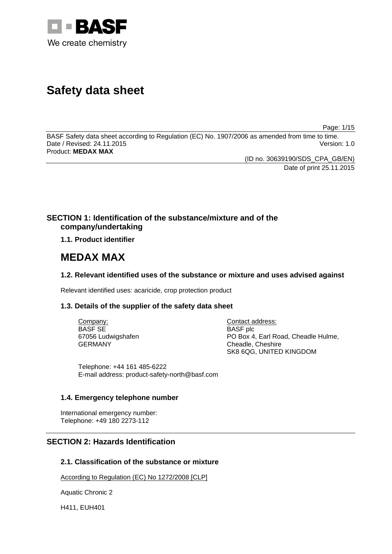

# **Safety data sheet**

Page: 1/15

BASF Safety data sheet according to Regulation (EC) No. 1907/2006 as amended from time to time. Date / Revised: 24.11.2015 Version: 1.0 Product: **MEDAX MAX**

> (ID no. 30639190/SDS\_CPA\_GB/EN) Date of print 25.11.2015

# **SECTION 1: Identification of the substance/mixture and of the company/undertaking**

# **1.1. Product identifier**

# **MEDAX MAX**

# **1.2. Relevant identified uses of the substance or mixture and uses advised against**

Relevant identified uses: acaricide, crop protection product

# **1.3. Details of the supplier of the safety data sheet**

Company: BASF SE 67056 Ludwigshafen GERMANY

Contact address: BASF plc PO Box 4, Earl Road, Cheadle Hulme, Cheadle, Cheshire SK8 6QG, UNITED KINGDOM

Telephone: +44 161 485-6222 E-mail address: product-safety-north@basf.com

# **1.4. Emergency telephone number**

International emergency number: Telephone: +49 180 2273-112

# **SECTION 2: Hazards Identification**

# **2.1. Classification of the substance or mixture**

According to Regulation (EC) No 1272/2008 [CLP]

Aquatic Chronic 2

H411, EUH401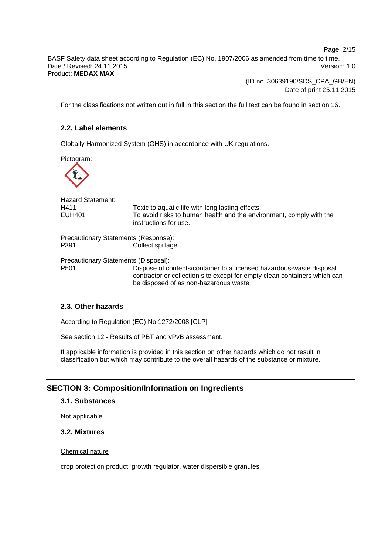Page: 2/15

BASF Safety data sheet according to Regulation (EC) No. 1907/2006 as amended from time to time. Date / Revised: 24.11.2015 Version: 1.0 Product: **MEDAX MAX**

(ID no. 30639190/SDS\_CPA\_GB/EN)

Date of print 25.11.2015

For the classifications not written out in full in this section the full text can be found in section 16.

# **2.2. Label elements**

Globally Harmonized System (GHS) in accordance with UK regulations.

Pictogram:



| <b>Hazard Statement:</b><br>H411<br><b>EUH401</b> | Toxic to aquatic life with long lasting effects.<br>To avoid risks to human health and the environment, comply with the<br>instructions for use.                                            |
|---------------------------------------------------|---------------------------------------------------------------------------------------------------------------------------------------------------------------------------------------------|
| Precautionary Statements (Response):              |                                                                                                                                                                                             |
| P391                                              | Collect spillage.                                                                                                                                                                           |
| Precautionary Statements (Disposal):              |                                                                                                                                                                                             |
| P <sub>501</sub>                                  | Dispose of contents/container to a licensed hazardous-waste disposal<br>contractor or collection site except for empty clean containers which can<br>be disposed of as non-hazardous waste. |

# **2.3. Other hazards**

According to Regulation (EC) No 1272/2008 [CLP]

See section 12 - Results of PBT and vPvB assessment.

If applicable information is provided in this section on other hazards which do not result in classification but which may contribute to the overall hazards of the substance or mixture.

# **SECTION 3: Composition/Information on Ingredients**

# **3.1. Substances**

Not applicable

### **3.2. Mixtures**

# Chemical nature

crop protection product, growth regulator, water dispersible granules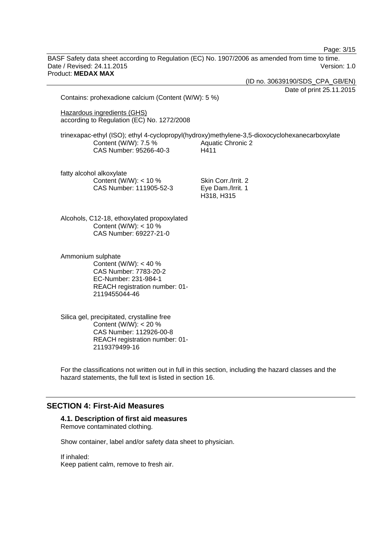|                                                                                                                                                     | Page: 3/15                                                                                                                        |
|-----------------------------------------------------------------------------------------------------------------------------------------------------|-----------------------------------------------------------------------------------------------------------------------------------|
| BASF Safety data sheet according to Regulation (EC) No. 1907/2006 as amended from time to time.<br>Date / Revised: 24.11.2015<br>Product: MEDAX MAX | Version: 1.0                                                                                                                      |
|                                                                                                                                                     | (ID no. 30639190/SDS_CPA_GB/EN)                                                                                                   |
|                                                                                                                                                     | Date of print 25.11.2015                                                                                                          |
| Contains: prohexadione calcium (Content (W/W): 5 %)                                                                                                 |                                                                                                                                   |
| Hazardous ingredients (GHS)<br>according to Regulation (EC) No. 1272/2008                                                                           |                                                                                                                                   |
| Content (W/W): 7.5 %<br>CAS Number: 95266-40-3                                                                                                      | trinexapac-ethyl (ISO); ethyl 4-cyclopropyl(hydroxy)methylene-3,5-dioxocyclohexanecarboxylate<br><b>Aquatic Chronic 2</b><br>H411 |
| fatty alcohol alkoxylate<br>Content (W/W): < 10 %<br>CAS Number: 111905-52-3                                                                        | Skin Corr./Irrit. 2<br>Eye Dam./Irrit. 1<br>H318, H315                                                                            |
| Alcohols, C12-18, ethoxylated propoxylated<br>Content (W/W): $<$ 10 %<br>CAS Number: 69227-21-0                                                     |                                                                                                                                   |
| Ammonium sulphate<br>Content (W/W): < 40 %<br>CAS Number: 7783-20-2<br>EC-Number: 231-984-1<br>REACH registration number: 01-<br>2119455044-46      |                                                                                                                                   |
| Silica gel, precipitated, crystalline free                                                                                                          |                                                                                                                                   |

Content (W/W): < 20 % CAS Number: 112926-00-8 REACH registration number: 01- 2119379499-16

For the classifications not written out in full in this section, including the hazard classes and the hazard statements, the full text is listed in section 16.

# **SECTION 4: First-Aid Measures**

### **4.1. Description of first aid measures**

Remove contaminated clothing.

Show container, label and/or safety data sheet to physician.

If inhaled: Keep patient calm, remove to fresh air.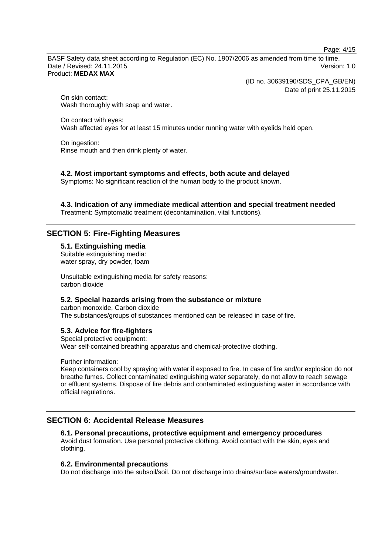Page: 4/15

BASF Safety data sheet according to Regulation (EC) No. 1907/2006 as amended from time to time. Date / Revised: 24.11.2015 Version: 1.0 Product: **MEDAX MAX**

(ID no. 30639190/SDS\_CPA\_GB/EN)

Date of print 25.11.2015

On skin contact: Wash thoroughly with soap and water.

On contact with eyes: Wash affected eyes for at least 15 minutes under running water with eyelids held open.

On ingestion: Rinse mouth and then drink plenty of water.

**4.2. Most important symptoms and effects, both acute and delayed**

Symptoms: No significant reaction of the human body to the product known.

**4.3. Indication of any immediate medical attention and special treatment needed**

Treatment: Symptomatic treatment (decontamination, vital functions).

# **SECTION 5: Fire-Fighting Measures**

# **5.1. Extinguishing media**

Suitable extinguishing media: water spray, dry powder, foam

Unsuitable extinguishing media for safety reasons: carbon dioxide

# **5.2. Special hazards arising from the substance or mixture**

carbon monoxide, Carbon dioxide The substances/groups of substances mentioned can be released in case of fire.

# **5.3. Advice for fire-fighters**

Special protective equipment: Wear self-contained breathing apparatus and chemical-protective clothing.

Further information:

Keep containers cool by spraying with water if exposed to fire. In case of fire and/or explosion do not breathe fumes. Collect contaminated extinguishing water separately, do not allow to reach sewage or effluent systems. Dispose of fire debris and contaminated extinguishing water in accordance with official regulations.

# **SECTION 6: Accidental Release Measures**

# **6.1. Personal precautions, protective equipment and emergency procedures**

Avoid dust formation. Use personal protective clothing. Avoid contact with the skin, eyes and clothing.

# **6.2. Environmental precautions**

Do not discharge into the subsoil/soil. Do not discharge into drains/surface waters/groundwater.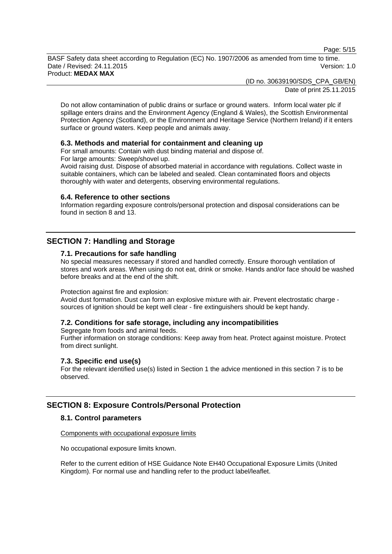Page: 5/15

BASF Safety data sheet according to Regulation (EC) No. 1907/2006 as amended from time to time. Date / Revised: 24.11.2015 Version: 1.0 Product: **MEDAX MAX**

(ID no. 30639190/SDS\_CPA\_GB/EN)

Date of print 25.11.2015

Do not allow contamination of public drains or surface or ground waters. Inform local water plc if spillage enters drains and the Environment Agency (England & Wales), the Scottish Environmental Protection Agency (Scotland), or the Environment and Heritage Service (Northern Ireland) if it enters surface or ground waters. Keep people and animals away.

# **6.3. Methods and material for containment and cleaning up**

For small amounts: Contain with dust binding material and dispose of.

For large amounts: Sweep/shovel up.

Avoid raising dust. Dispose of absorbed material in accordance with regulations. Collect waste in suitable containers, which can be labeled and sealed. Clean contaminated floors and objects thoroughly with water and detergents, observing environmental regulations.

#### **6.4. Reference to other sections**

Information regarding exposure controls/personal protection and disposal considerations can be found in section 8 and 13.

# **SECTION 7: Handling and Storage**

### **7.1. Precautions for safe handling**

No special measures necessary if stored and handled correctly. Ensure thorough ventilation of stores and work areas. When using do not eat, drink or smoke. Hands and/or face should be washed before breaks and at the end of the shift.

#### Protection against fire and explosion:

Avoid dust formation. Dust can form an explosive mixture with air. Prevent electrostatic charge sources of ignition should be kept well clear - fire extinguishers should be kept handy.

#### **7.2. Conditions for safe storage, including any incompatibilities**

Segregate from foods and animal feeds. Further information on storage conditions: Keep away from heat. Protect against moisture. Protect from direct sunlight.

#### **7.3. Specific end use(s)**

For the relevant identified use(s) listed in Section 1 the advice mentioned in this section 7 is to be observed.

# **SECTION 8: Exposure Controls/Personal Protection**

# **8.1. Control parameters**

### Components with occupational exposure limits

No occupational exposure limits known.

Refer to the current edition of HSE Guidance Note EH40 Occupational Exposure Limits (United Kingdom). For normal use and handling refer to the product label/leaflet.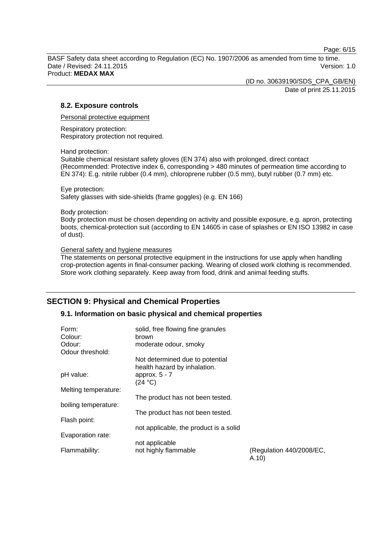Page: 6/15

BASF Safety data sheet according to Regulation (EC) No. 1907/2006 as amended from time to time. Date / Revised: 24.11.2015 Version: 1.0 Product: **MEDAX MAX**

(ID no. 30639190/SDS\_CPA\_GB/EN)

Date of print 25.11.2015

# **8.2. Exposure controls**

Personal protective equipment

Respiratory protection: Respiratory protection not required.

Hand protection:

Suitable chemical resistant safety gloves (EN 374) also with prolonged, direct contact (Recommended: Protective index 6, corresponding > 480 minutes of permeation time according to EN 374): E.g. nitrile rubber (0.4 mm), chloroprene rubber (0.5 mm), butyl rubber (0.7 mm) etc.

Eye protection: Safety glasses with side-shields (frame goggles) (e.g. EN 166)

Body protection:

Body protection must be chosen depending on activity and possible exposure, e.g. apron, protecting boots, chemical-protection suit (according to EN 14605 in case of splashes or EN ISO 13982 in case of dust).

General safety and hygiene measures

The statements on personal protective equipment in the instructions for use apply when handling crop-protection agents in final-consumer packing. Wearing of closed work clothing is recommended. Store work clothing separately. Keep away from food, drink and animal feeding stuffs.

# **SECTION 9: Physical and Chemical Properties**

# **9.1. Information on basic physical and chemical properties**

| Form:<br>Colour:<br>Odour:<br>Odour threshold: | solid, free flowing fine granules<br>brown<br>moderate odour, smoky |                                   |
|------------------------------------------------|---------------------------------------------------------------------|-----------------------------------|
|                                                | Not determined due to potential<br>health hazard by inhalation.     |                                   |
| pH value:                                      | approx. $5 - 7$<br>(24 °C)                                          |                                   |
| Melting temperature:                           | The product has not been tested.                                    |                                   |
| boiling temperature:                           | The product has not been tested.                                    |                                   |
| Flash point:                                   | not applicable, the product is a solid                              |                                   |
| Evaporation rate:                              |                                                                     |                                   |
| Flammability:                                  | not applicable<br>not highly flammable                              | (Regulation 440/2008/EC,<br>A.10) |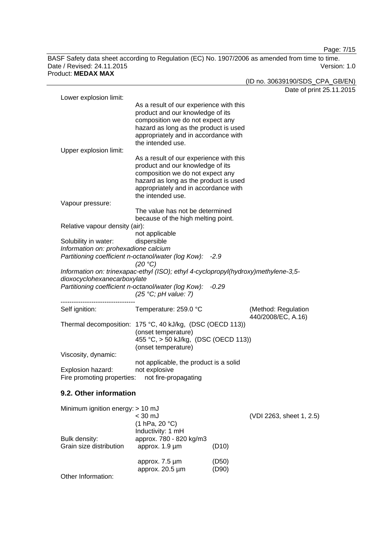Page: 7/15

BASF Safety data sheet according to Regulation (EC) No. 1907/2006 as amended from time to time. Date / Revised: 24.11.2015 Version: 1.0

Product: **MEDAX MAX** (ID no. 30639190/SDS\_CPA\_GB/EN) Date of print 25.11.2015 Lower explosion limit: As a result of our experience with this product and our knowledge of its composition we do not expect any hazard as long as the product is used appropriately and in accordance with the intended use. Upper explosion limit: As a result of our experience with this product and our knowledge of its composition we do not expect any hazard as long as the product is used appropriately and in accordance with the intended use. Vapour pressure: The value has not be determined because of the high melting point. Relative vapour density (air): not applicable Solubility in water: dispersible *Information on: prohexadione calcium Partitioning coefficient n-octanol/water (log Kow): -2.9 (20 °C) Information on: trinexapac-ethyl (ISO); ethyl 4-cyclopropyl(hydroxy)methylene-3,5 dioxocyclohexanecarboxylate Partitioning coefficient n-octanol/water (log Kow): -0.29 (25 °C; pH value: 7)* ---------------------------------- Self ignition: Temperature: 259.0 °C (Method: Regulation 440/2008/EC, A.16) Thermal decomposition: 175 °C, 40 kJ/kg, (DSC (OECD 113)) (onset temperature) 455 °C, > 50 kJ/kg, (DSC (OECD 113)) (onset temperature) Viscosity, dynamic: not applicable, the product is a solid Explosion hazard: not explosive Fire promoting properties: not fire-propagating **9.2. Other information** Minimum ignition energy: > 10 mJ

| Bulk density:           | $<$ 30 mJ<br>(1 hPa, 20 °C)<br>Inductivity: 1 mH<br>approx. 780 - 820 kg/m3 |                | (VDI 2263, sheet 1, 2.5) |
|-------------------------|-----------------------------------------------------------------------------|----------------|--------------------------|
| Grain size distribution | approx. 1.9 µm                                                              | (D10)          |                          |
|                         | approx. 7.5 um<br>approx. $20.5 \mu m$                                      | (D50)<br>(D90) |                          |
| Other Information:      |                                                                             |                |                          |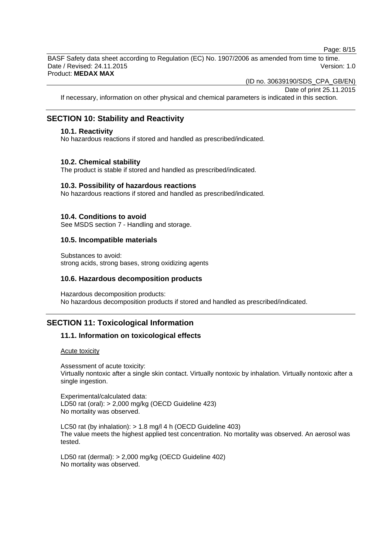Page: 8/15

BASF Safety data sheet according to Regulation (EC) No. 1907/2006 as amended from time to time. Date / Revised: 24.11.2015 Version: 1.0 Product: **MEDAX MAX**

(ID no. 30639190/SDS\_CPA\_GB/EN)

Date of print 25.11.2015

If necessary, information on other physical and chemical parameters is indicated in this section.

# **SECTION 10: Stability and Reactivity**

### **10.1. Reactivity**

No hazardous reactions if stored and handled as prescribed/indicated.

#### **10.2. Chemical stability**

The product is stable if stored and handled as prescribed/indicated.

#### **10.3. Possibility of hazardous reactions**

No hazardous reactions if stored and handled as prescribed/indicated.

### **10.4. Conditions to avoid**

See MSDS section 7 - Handling and storage.

### **10.5. Incompatible materials**

Substances to avoid: strong acids, strong bases, strong oxidizing agents

### **10.6. Hazardous decomposition products**

Hazardous decomposition products: No hazardous decomposition products if stored and handled as prescribed/indicated.

# **SECTION 11: Toxicological Information**

# **11.1. Information on toxicological effects**

Acute toxicity

Assessment of acute toxicity: Virtually nontoxic after a single skin contact. Virtually nontoxic by inhalation. Virtually nontoxic after a single ingestion.

Experimental/calculated data: LD50 rat (oral): > 2,000 mg/kg (OECD Guideline 423) No mortality was observed.

LC50 rat (by inhalation): > 1.8 mg/l 4 h (OECD Guideline 403) The value meets the highest applied test concentration. No mortality was observed. An aerosol was tested.

LD50 rat (dermal): > 2,000 mg/kg (OECD Guideline 402) No mortality was observed.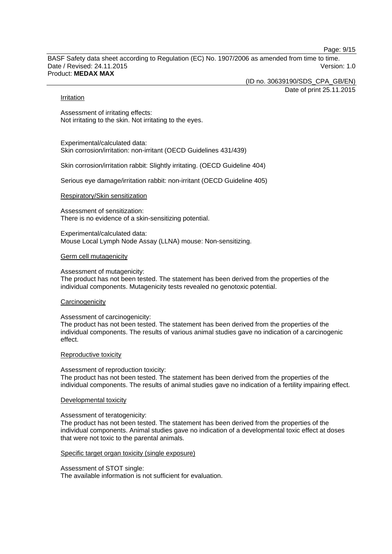Page: 9/15

BASF Safety data sheet according to Regulation (EC) No. 1907/2006 as amended from time to time. Date / Revised: 24.11.2015 Version: 1.0 Product: **MEDAX MAX**

> (ID no. 30639190/SDS\_CPA\_GB/EN) Date of print 25.11.2015

#### Irritation

Assessment of irritating effects: Not irritating to the skin. Not irritating to the eyes.

Experimental/calculated data: Skin corrosion/irritation: non-irritant (OECD Guidelines 431/439)

Skin corrosion/irritation rabbit: Slightly irritating. (OECD Guideline 404)

Serious eye damage/irritation rabbit: non-irritant (OECD Guideline 405)

### Respiratory/Skin sensitization

Assessment of sensitization: There is no evidence of a skin-sensitizing potential.

Experimental/calculated data: Mouse Local Lymph Node Assay (LLNA) mouse: Non-sensitizing.

#### Germ cell mutagenicity

Assessment of mutagenicity:

The product has not been tested. The statement has been derived from the properties of the individual components. Mutagenicity tests revealed no genotoxic potential.

#### **Carcinogenicity**

#### Assessment of carcinogenicity:

The product has not been tested. The statement has been derived from the properties of the individual components. The results of various animal studies gave no indication of a carcinogenic effect.

#### Reproductive toxicity

#### Assessment of reproduction toxicity:

The product has not been tested. The statement has been derived from the properties of the individual components. The results of animal studies gave no indication of a fertility impairing effect.

#### Developmental toxicity

#### Assessment of teratogenicity:

The product has not been tested. The statement has been derived from the properties of the individual components. Animal studies gave no indication of a developmental toxic effect at doses that were not toxic to the parental animals.

#### Specific target organ toxicity (single exposure)

Assessment of STOT single:

The available information is not sufficient for evaluation.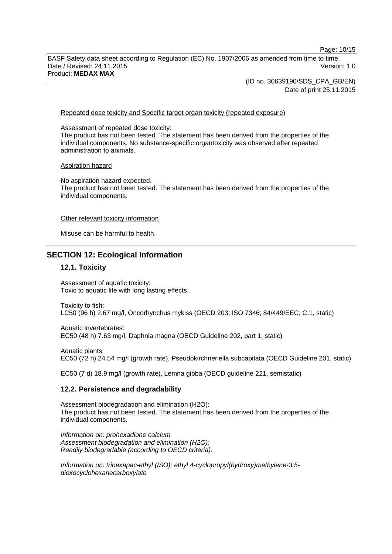Page: 10/15

BASF Safety data sheet according to Regulation (EC) No. 1907/2006 as amended from time to time. Date / Revised: 24.11.2015 Version: 1.0 Product: **MEDAX MAX**

> (ID no. 30639190/SDS\_CPA\_GB/EN) Date of print 25.11.2015

#### Repeated dose toxicity and Specific target organ toxicity (repeated exposure)

Assessment of repeated dose toxicity: The product has not been tested. The statement has been derived from the properties of the individual components. No substance-specific organtoxicity was observed after repeated administration to animals.

#### Aspiration hazard

No aspiration hazard expected. The product has not been tested. The statement has been derived from the properties of the individual components.

#### Other relevant toxicity information

Misuse can be harmful to health.

### **SECTION 12: Ecological Information**

#### **12.1. Toxicity**

Assessment of aquatic toxicity: Toxic to aquatic life with long lasting effects.

Toxicity to fish: LC50 (96 h) 2.67 mg/l, Oncorhynchus mykiss (OECD 203; ISO 7346; 84/449/EEC, C.1, static)

Aquatic invertebrates: EC50 (48 h) 7.63 mg/l, Daphnia magna (OECD Guideline 202, part 1, static)

Aquatic plants: EC50 (72 h) 24.54 mg/l (growth rate), Pseudokirchneriella subcapitata (OECD Guideline 201, static)

EC50 (7 d) 18.9 mg/l (growth rate), Lemna gibba (OECD guideline 221, semistatic)

#### **12.2. Persistence and degradability**

Assessment biodegradation and elimination (H2O): The product has not been tested. The statement has been derived from the properties of the individual components.

*Information on: prohexadione calcium Assessment biodegradation and elimination (H2O): Readily biodegradable (according to OECD criteria).*

*Information on: trinexapac-ethyl (ISO); ethyl 4-cyclopropyl(hydroxy)methylene-3,5 dioxocyclohexanecarboxylate*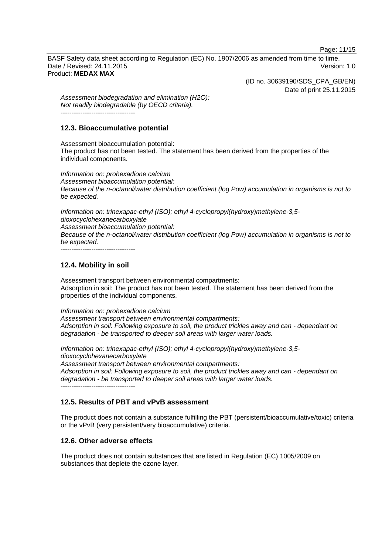Page: 11/15

BASF Safety data sheet according to Regulation (EC) No. 1907/2006 as amended from time to time. Date / Revised: 24.11.2015 Version: 1.0 Product: **MEDAX MAX**

(ID no. 30639190/SDS\_CPA\_GB/EN)

Date of print 25.11.2015

*Assessment biodegradation and elimination (H2O): Not readily biodegradable (by OECD criteria).* ----------------------------------

### **12.3. Bioaccumulative potential**

Assessment bioaccumulation potential: The product has not been tested. The statement has been derived from the properties of the individual components.

*Information on: prohexadione calcium Assessment bioaccumulation potential: Because of the n-octanol/water distribution coefficient (log Pow) accumulation in organisms is not to be expected.*

*Information on: trinexapac-ethyl (ISO); ethyl 4-cyclopropyl(hydroxy)methylene-3,5 dioxocyclohexanecarboxylate Assessment bioaccumulation potential: Because of the n-octanol/water distribution coefficient (log Pow) accumulation in organisms is not to be expected.* ----------------------------------

# **12.4. Mobility in soil**

Assessment transport between environmental compartments: Adsorption in soil: The product has not been tested. The statement has been derived from the properties of the individual components.

*Information on: prohexadione calcium Assessment transport between environmental compartments: Adsorption in soil: Following exposure to soil, the product trickles away and can - dependant on degradation - be transported to deeper soil areas with larger water loads.*

*Information on: trinexapac-ethyl (ISO); ethyl 4-cyclopropyl(hydroxy)methylene-3,5 dioxocyclohexanecarboxylate Assessment transport between environmental compartments: Adsorption in soil: Following exposure to soil, the product trickles away and can - dependant on degradation - be transported to deeper soil areas with larger water loads.* ----------------------------------

# **12.5. Results of PBT and vPvB assessment**

The product does not contain a substance fulfilling the PBT (persistent/bioaccumulative/toxic) criteria or the vPvB (very persistent/very bioaccumulative) criteria.

# **12.6. Other adverse effects**

The product does not contain substances that are listed in Regulation (EC) 1005/2009 on substances that deplete the ozone layer.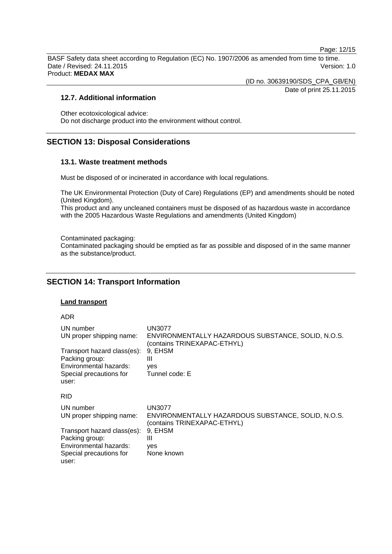Page: 12/15

BASF Safety data sheet according to Regulation (EC) No. 1907/2006 as amended from time to time. Date / Revised: 24.11.2015 Version: 1.0 Product: **MEDAX MAX**

(ID no. 30639190/SDS\_CPA\_GB/EN)

Date of print 25.11.2015

### **12.7. Additional information**

Other ecotoxicological advice: Do not discharge product into the environment without control.

# **SECTION 13: Disposal Considerations**

### **13.1. Waste treatment methods**

Must be disposed of or incinerated in accordance with local regulations.

The UK Environmental Protection (Duty of Care) Regulations (EP) and amendments should be noted (United Kingdom).

This product and any uncleaned containers must be disposed of as hazardous waste in accordance with the 2005 Hazardous Waste Regulations and amendments (United Kingdom)

Contaminated packaging:

Contaminated packaging should be emptied as far as possible and disposed of in the same manner as the substance/product.

# **SECTION 14: Transport Information**

### **Land transport**

ADR

| UN number<br>UN proper shipping name:<br>Transport hazard class(es):<br>Packing group:<br>Environmental hazards:<br>Special precautions for<br>user: | UN3077<br>ENVIRONMENTALLY HAZARDOUS SUBSTANCE, SOLID, N.O.S.<br>(contains TRINEXAPAC-ETHYL)<br>9. EHSM<br>Ш<br>ves<br>Tunnel code: E |
|------------------------------------------------------------------------------------------------------------------------------------------------------|--------------------------------------------------------------------------------------------------------------------------------------|
| <b>RID</b>                                                                                                                                           |                                                                                                                                      |
| UN number<br>UN proper shipping name:                                                                                                                | <b>UN3077</b><br>ENVIRONMENTALLY HAZARDOUS SUBSTANCE, SOLID, N.O.S.<br>(contains TRINEXAPAC-ETHYL)                                   |
| Transport hazard class(es):                                                                                                                          | 9. EHSM                                                                                                                              |
| Packing group:<br>Environmental hazards:                                                                                                             | Ш<br>yes                                                                                                                             |
| Special precautions for<br>user:                                                                                                                     | None known                                                                                                                           |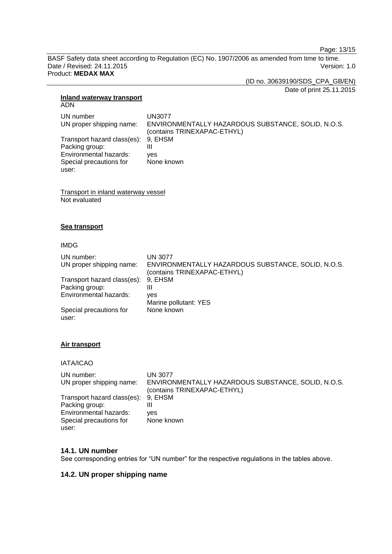Page: 13/15

BASF Safety data sheet according to Regulation (EC) No. 1907/2006 as amended from time to time. Date / Revised: 24.11.2015 Version: 1.0 Product: **MEDAX MAX**

(ID no. 30639190/SDS\_CPA\_GB/EN)

Date of print 25.11.2015

# **Inland waterway transport**

ADN

UN number UN3077<br>UN proper shipping name: ENVIRO ENVIRONMENTALLY HAZARDOUS SUBSTANCE, SOLID, N.O.S. (contains TRINEXAPAC-ETHYL) Transport hazard class(es): 9, EHSM Packing group: III Environmental hazards: yes Special precautions for user: None known

Transport in inland waterway vessel Not evaluated

# **Sea transport**

### IMDG

| UN number:                       | <b>UN 3077</b>                                                                    |
|----------------------------------|-----------------------------------------------------------------------------------|
| UN proper shipping name:         | ENVIRONMENTALLY HAZARDOUS SUBSTANCE, SOLID, N.O.S.<br>(contains TRINEXAPAC-ETHYL) |
| Transport hazard class(es):      | 9. EHSM                                                                           |
| Packing group:                   | Ш                                                                                 |
| Environmental hazards:           | ves                                                                               |
|                                  | Marine pollutant: YES                                                             |
| Special precautions for<br>user: | None known                                                                        |

# **Air transport**

# IATA/ICAO

| UN number:                  | <b>UN 3077</b>                                     |
|-----------------------------|----------------------------------------------------|
| UN proper shipping name:    | ENVIRONMENTALLY HAZARDOUS SUBSTANCE, SOLID, N.O.S. |
|                             | (contains TRINEXAPAC-ETHYL)                        |
| Transport hazard class(es): | 9. EHSM                                            |
| Packing group:              | Ш                                                  |
| Environmental hazards:      | ves                                                |
| Special precautions for     | None known                                         |
| user:                       |                                                    |

# **14.1. UN number**

See corresponding entries for "UN number" for the respective regulations in the tables above.

# **14.2. UN proper shipping name**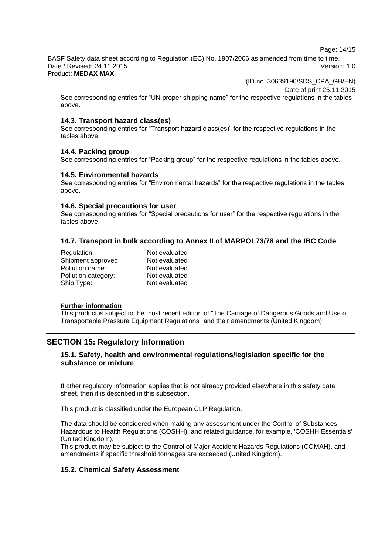Page: 14/15

BASF Safety data sheet according to Regulation (EC) No. 1907/2006 as amended from time to time. Date / Revised: 24.11.2015 Version: 1.0 Product: **MEDAX MAX**

(ID no. 30639190/SDS\_CPA\_GB/EN)

Date of print 25.11.2015

See corresponding entries for "UN proper shipping name" for the respective regulations in the tables above.

### **14.3. Transport hazard class(es)**

See corresponding entries for "Transport hazard class(es)" for the respective regulations in the tables above.

### **14.4. Packing group**

See corresponding entries for "Packing group" for the respective regulations in the tables above.

### **14.5. Environmental hazards**

See corresponding entries for "Environmental hazards" for the respective regulations in the tables above.

### **14.6. Special precautions for user**

See corresponding entries for "Special precautions for user" for the respective regulations in the tables above.

# **14.7. Transport in bulk according to Annex II of MARPOL73/78 and the IBC Code**

| Regulation:         | Not evaluated |
|---------------------|---------------|
| Shipment approved:  | Not evaluated |
| Pollution name:     | Not evaluated |
| Pollution category: | Not evaluated |
| Ship Type:          | Not evaluated |

#### **Further information**

This product is subject to the most recent edition of "The Carriage of Dangerous Goods and Use of Transportable Pressure Equipment Regulations" and their amendments (United Kingdom).

# **SECTION 15: Regulatory Information**

# **15.1. Safety, health and environmental regulations/legislation specific for the substance or mixture**

If other regulatory information applies that is not already provided elsewhere in this safety data sheet, then it is described in this subsection.

This product is classified under the European CLP Regulation.

The data should be considered when making any assessment under the Control of Substances Hazardous to Health Regulations (COSHH), and related guidance, for example, 'COSHH Essentials' (United Kingdom).

This product may be subject to the Control of Major Accident Hazards Regulations (COMAH), and amendments if specific threshold tonnages are exceeded (United Kingdom).

# **15.2. Chemical Safety Assessment**